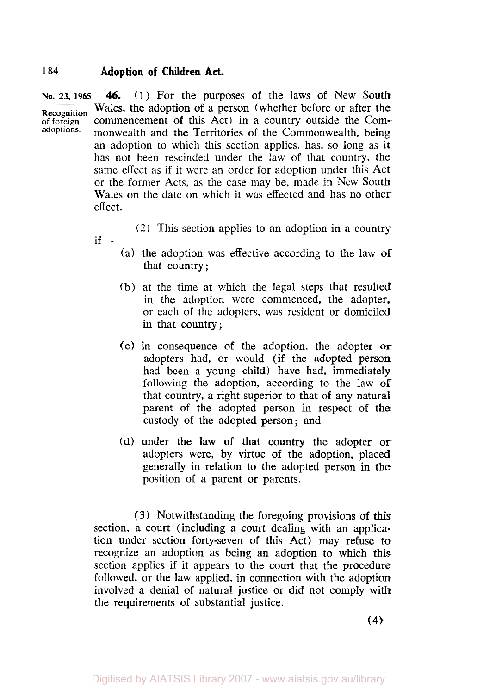$if$ 

**NO. 23, 1965 Recognition**  of foreign **adoptions.**  *46.* (1) For the purposes of the laws of New South Wales, the adoption of a person (whether before or after the commencement of this Act) in a country outside the Commonwealth and the Territories of the Commonwealth, being an adoption to which this section applies, has, so long as it has not been rescinded under the law of that country, the same effect as if it were an order for adoption under this Act or the former Acts, as the case may be, made in New South Wales on the date on which it was effected and has no other effect.

*(2)* This section applies to an adoption in a country-

- (a) the adoption was effective according to the law **of**  that country ;
- (b) at the time at which the legal steps that resulted in the adoption were commenced, the adopter, or each of the adopters, was resident or domiciled in that country;
- (c) in consequence of the adoption, the adopter **or**  adopters had, or would (if the adopted person had been a young child) have had, immediately following the adoption, according to the law **of**  that country, **a** right superior to that of any natural parent of the adopted person in respect of the custody of the adopted person; and
- (d) under the law of that country the adopter or adopters were, by virtue of the adoption, placed generally in relation to the adopted person in the position of a parent or parents.

(3) Notwithstanding the foregoing provisions of **this**  section, a court (including a court dealing with an application under section forty-seven of this Act) may refuse to recognize an adoption as being an adoption to which this section applies if it appears to the court that the procedure followed, or the law applied, in connection with the adoption involved a denial of natural justice or did not comply with the requirements of substantial justice.

**(4)**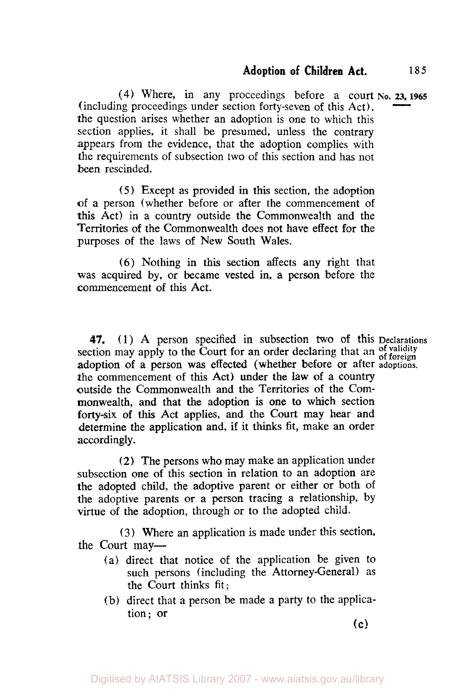(4) Where, in any proceedings before a court **No. 23, 1965** (including proceedings under section forty-seven of this Act), the question arises whether an adoption is one to which this section applies, it shall be presumed, unless the contrary appears from the evidence, that the adoption complies with the requirements of subsection two of this section and has not been rescinded.

*(5)* Except as provided in this section, the adoption of a person (whether before or after the commencement of this Act) in a country outside the Commonwealth and the Territories of the Commonwealth does not have effect for the purposes of the laws of New South Wales.

(6) Nothing in **this** section affects any right that was acquired **by,** or became vested in, a person before the commencement of this Act.

**47.** (1) **A** person specified in subsection two of this **Declarations**  section may apply to the Court for an order declaring that an of validity adoption of **a** person **was** effected (whether before or after **adoptions.**  the commencement of this Act) under the law **of** a country outside the Commonwealth and the Territories of the Commonwealth, and that the adoption **is** one to which section forty-six of **this** Act applies, and the Court may hear and determine the application and, if it thinks fit, make an order accordingly.

*(2)* The persons who may make an application under subsection one of this section in relation to an adoption are the adopted child, the adoptive parent or either or both of the adoptive parents or a person tracing a relationship, by virtue of the adoption, through or to the adopted child.

**(3)** Where an application is made under this section. the Court may—

- (a) direct that notice of the application be given to such persons (including the Attorney-General) as the Court thinks fit;
- (b) direct that a person be made a party to the application; or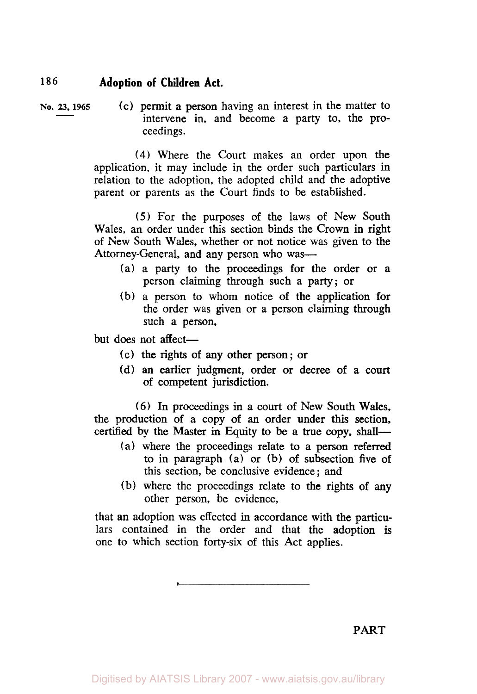**No. 23, 1965** (c) permit a person having an interest in the matter to intervene in, and become a party to, the proceedings.

> **(4)** Where the Court makes an order upon the application, it may include in the order such particulars in relation to the adoption, the adopted child and the adoptive parent or parents as the Court finds to be established.

> *(5)* For the purposes of the laws of New South Wales, an order under this section binds the Crown in right of New South Wales, whether or not notice was given to the Attorney-General, and any person who was-

- (a) a party to the proceedings for the order or **a**  person claiming through such a party; or
- (b) a person to whom notice of the application for the order was given or a person claiming through such a person,

but does not affect-

- (c) the rights **of** any other person; or
- (d) an earlier judgment, order or decree **of** a court of competent jurisdiction.

**(6)** In proceedings in a court of New South Wales, the production of a copy of an order under this section, certified by the Master in Equity to be a true copy, shall-

- (a) where the proceedings relate to a person referred to in paragraph (a) or (b) of subsection five of this section, be conclusive evidence ; and
- (b) where the proceedings relate to the rights of any other person, be evidence,

that an adoption was effected in accordance with the particulars contained in the order and that the adoption is one to which section forty-six of this Act applies.

**PART**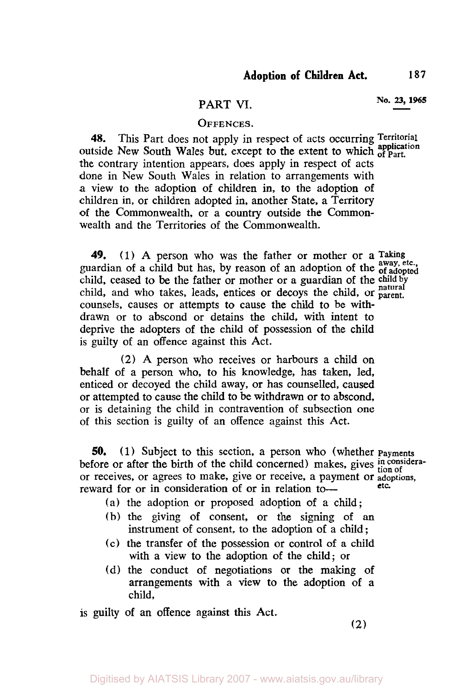# **PART VI. No. 23, 1965**

#### **OFFENCES.**

**48.** This Part does not apply in respect of acts occurring **Territorial application** outside New South Wales but, except to the extent to which **of Part.**  the contrary intention appears, does apply in respect of acts done in New South Wales in relation to arrangements with a view to the adoption of children in, to the adoption of children in, or children adopted in, another State, a Territory of the Commonwealth, or a country outside the Commonwealth and the Territories of the Commonwealth.

**49. (1)** A person who was the father or mother or a **Taking able to the arm of a child** but has, by reason of an adoption of the of adopted child, ceased to be the father or mother or a guardian of the child by child, and who takes, leads, entices or decoys the child, or **parent.** counsels, causes or attempts to cause the child to be withdrawn or to abscond or detains the child, with intent to deprive the adopters of the child of possession of the child is guilty of an offence against this Act.

**(2)** A person who receives or harbours a child on behalf of a person who, to his knowledge, has taken, led, enticed or decoyed the child away, or has counselled, caused or attempted to cause the child to be withdrawn or *to* abscond, or is detaining the child in contravention of subsection one of this section is guilty of an offence against this Act.

**50. (1)** Subject to this section, a person who (whether **Payments**  before or after the birth of the child concerned) makes, gives  $\frac{in \text{considera}}{tion \text{ of }}$ or receives, or agrees to make, give or receive, a payment or **adoptions,**  reward for or in consideration of or in relation to-

(a) the adoption or proposed adoption of a child;

- (b) the giving of consent, or the signing of an instrument of consent, to the adoption of a child ;
- (c) the transfer of the possession or control of a child with a view to the adoption of the child; or
- (d) the conduct of negotiations or the making of arrangements with a view to the adoption of a child,

**is** guilty of an offence against this Act.

(2)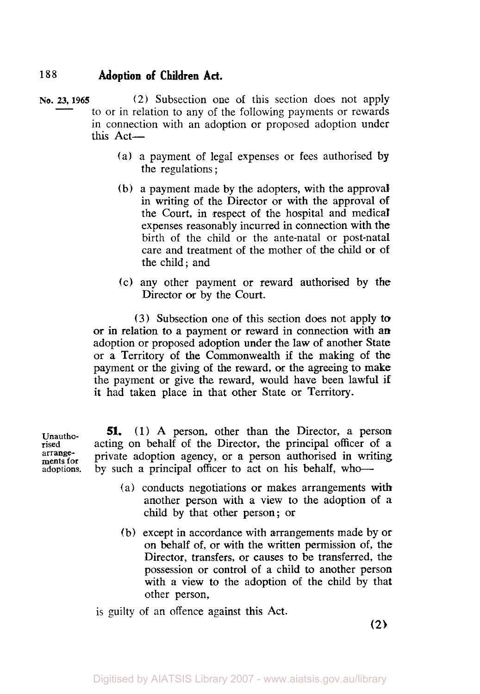- **No. 23, 1965** (2) Subsection one of this section does not apply to or in relation to any of the foIIowing payments or rewards in connection with an adoption or proposed adoption under this Act-
	- (a) **a** payment of legal expenses or fees authorised by the regulations ;
	- (b) a payment made by the adopters, with the approval in writing of the Director or with the approval **of**  the Court, in respect of the hospital and medical expenses reasonably incurred in connection with the birth of the child or the ante-natal or post-natal care and treatment of the mother of the child or **of**  the child; and
	- (c) any other payment or reward authorised by the Director or by the Court.

*(3)* Subsection one of this section does not apply to or in relation to a payment or reward in connection with *an*  adoption or proposed adoption under the law of another State or a Territory of the Commonwealth if the making of the payment **or** the giving of the reward, *or* the agreeing to **make**  the payment or give the reward, would have been lawful **if**  it had taken place in that other State or Territory.

**Unauthorised arrangements for adoptions.** 

**51.** (1) A person, other than the Director, a person acting on behalf of the Director, the principal officer **of** a private adoption agency, or a person authorised in writing by such a principal officer to act on his behalf, who-

- ( a) conducts negotiations or makes arrangements with another person **with** a view to the adoption of a child by that other person; **or**
- (b) except in accordance with arrangements made by or on behalf of, or with the written permission of, the Director, transfers, or causes to be transferred, the possession or control of a child to another person with a view to the adoption of the child by that other person,

is guilty of an offence against this Act.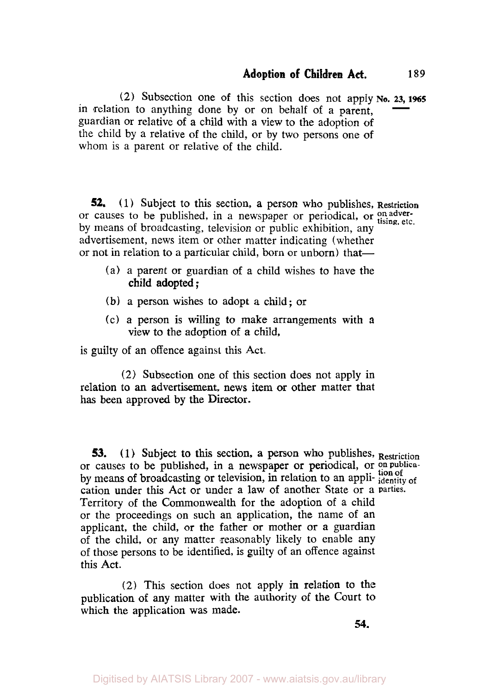(2) Subsection one of this section does not apply **No. 23, 1965** in relation to anything done by or on behalf of a parent, guardian or relative of a child with a view to the adoption of the child by a relative of the child, or by two persons one of whom is a parent or relative of the child.

*52.* (1) Subject to this section, a person who publishes, **Restriction**  or causes to be published, in a newspaper or periodical, or  $_{\text{tising, etc.}}^{\text{on adver}}$ by means of broadcasting, television or public exhibition, any advertisement, news item or other matter indicating (whether or not in relation to a particular child, born or unborn) that-

- (a) a parent or guardian of a child wishes to have the child adopted ;
- (b) a person wishes to adopt a child; or
- (c) a person is willing to make arrangements with a view to the adoption of a child,

is guilty of an offence against this Act.

(2) Subsection one of this section does not apply in relation to **an** advertisement, news item or other matter that has been approved by the **Director.** 

**53.** (1) Subject to this section, a person who publishes, Restriction or causes to be published, in a newspaper or periodical, or on publicaby means of broadcasting or television, in relation to an appli- **identity** of **by** means of broadcasting or television, in relation to an application under this Act or under a law of another State or a **parties.**  Territory of the Commonwealth for the adoption of a child or the proceedings on such an application, the name of an applicant, the child, or the father or mother or a guardian of the child, or any matter reasonably likely to enable any of those persons to be identified, is guilty of an offence against this Act.

(2) This section does not apply in relation to the publication of any matter with the authority **of** the Court to which the application was made.

**54.**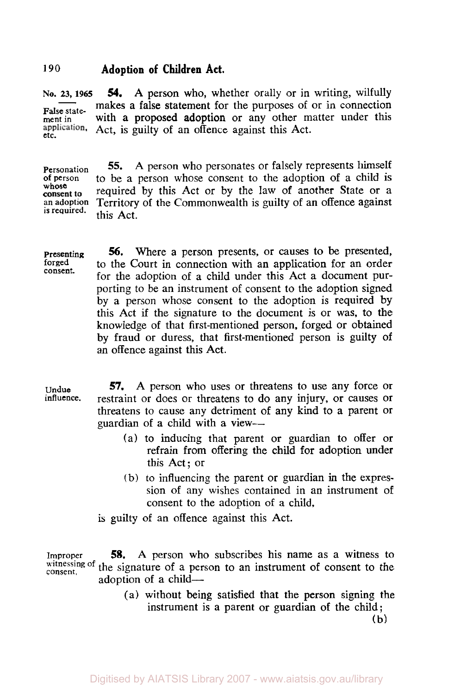**NO. 23, 1965**  False statement in<br>application. **54.** A person who, whether orally or in writing, wilfully makes a false statement for the purposes of or in connection with a proposed adoption or any other matter under this application. Act, is guilty of an offence against this Act.

Personation *55.* A person who personates or falsely represents himself of person to be a person whose consent to the adoption of a child is whose **required** by this Act or by the law of another State or a consent to required by this Act or by the law of an offence against **an** adoption Territory of the Commonwealth is guilty of an offence against this Act.

presenting forged consent. *56.* Where a person presents, or causes to be presented, to the Court in connection with an application for an order for the adoption of a child under this Act a document purporting to be an instrument of consent to the adoption signed by a person whose consent to the adoption is required by this Act if the signature to the document is or was, to the knowledge of that first-mentioned person, forged or obtained by fraud or duress, that first-mentioned person is guilty of an offence against this Act.

Undue influence. *57.* A person who uses or threatens to use any force or restraint or does or threatens to do any injury, or causes or threatens to cause any detriment of any kind to a parent or guardian of a child with a view-

- (a) to inducing that parent or guardian to offer or refrain from offering the child for adoption under this Act; or
- (b) to influencing the parent or guardian in the expression of any wishes contained in an instrument of consent to the adoption of a child,

is guilty of an offence against this Act.

Improper witnessing of the signature of a person to an instrument of consent to the *58.* A person who subscribes his name as a witness to adoption of a child-

> (a) without being satisfied that the person signing the instrument is a parent or guardian of the child; (b)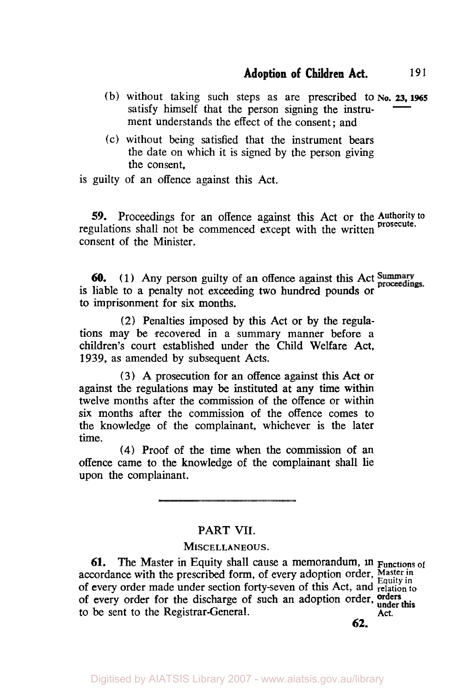- (b) without taking such steps as are prescribed to **No. 23, 1965** satisfy himself that the person signing the instrument understands the effect of the consent ; and
- (c) without being satisfied that the instrument bears the date on which it is signed by the person giving the consent,

is guilty of an offence against this Act.

*59.* Proceedings for an offence against this Act or the **Authority to prosecute.** regulations shall not be commenced except with the written consent of the Minister.

*60.* **(1)** Any person guilty of **an** offence against **this** Act is liable to a penalty not exceeding two hundred pounds or to imprisonment for six months.

(2) Penalties imposed by this Act or by the regulations may be recovered in a summary manner before a children's court established under the Child Welfare Act, **1939,** as amended by subsequent Acts.

**(3)** A prosecution for an offence against this Act or against the regulations may be instituted at any time within twelve months after the commission of the offence or within six months after the commission of the offence comes to the knowledge of the complainant, whichever is the later time.

**(4)** Proof of the time when the commission of an offence came to the knowledge **of** the complainant shall lie upon the complainant.

### PART **VII.**

#### MISCELLANEOUS.

**61.** The Master in Equity shall cause a memorandum, **in Functions** *of*  accordance with the prescribed form, of every adoption order, Master in of every order made under section forty-seven of this Act, and **relation to**  of every order for the discharge of such an adoption order, order this to be sent to the Registrar-General. Act.

**62.**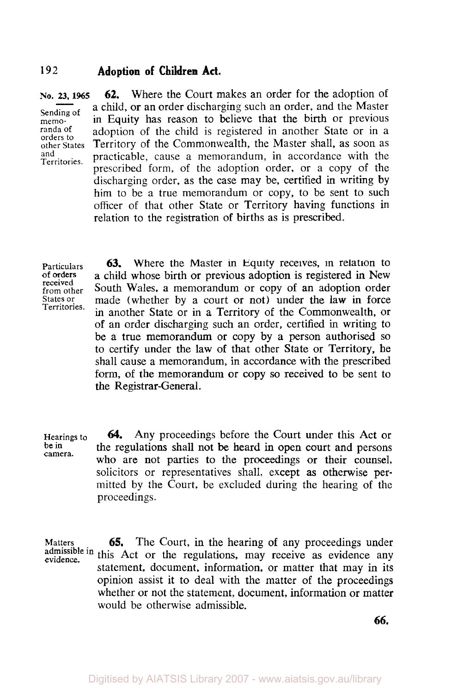orders to<br>other States

No. 23, 1965 **62.** Where the Court makes an order for the adoption of sending of a child, or an order discharging such an order, and the Master in Equity has reason to believe that the birth or previous randa of adoption of the child is registered in another State or in a adoption of the child is registered in another State or in a other States Territory of the Commonwealth, the Master shall, as soon as<br>and an arracticable cause a memorandum in accordance with the and practicable, cause a memorandum, in accordance with the prescribed form, of the adoption order, or a copy of the discharging order, as the case may be, certified in writing by him to be a true memorandum or copy, to be sent to such officer of that other State or Territory having functions in relation to the registration of births as is prescribed.

received<br>from other Territories.

Particulars 63. Where the Master in Equity receives, in relation to **of** orders **a** child whose birth or previous adoption is registered in New received<br>from other South Wales, a memorandum or copy of an adoption order<br>States or made (whether by a court or not) under the law in force made (whether by a court or not) under the law in force in another State or in a Territory of the Commonwealth, or of an order discharging such an order, certified in writing to be a true memorandum or copy by a person authorised so to certify under the law of that other State or Territory, he shall cause a memorandum, in accordance with the prescribed **form,** of the memorandum or copy so received to be sent to the Registrar-General. **63.** 

Hearings to<br>be in be **in** camera. *64.* Any proceedings before the Court under this Act or the regulations shall not be heard in open court and persons who are not parties to the proceedings or their counsel, solicitors or representatives shall, except **as** otherwise permitted by the Court, be excluded during the hearing of the proceedings.

**Matters**  evidence. *65.* The Court, in the hearing of any proceedings under admissible in this Act or the regulations, may receive as evidence any equidence statement, document, information, or matter that may in its opinion assist it to deal with the matter of the proceedings whether or not the statement, document, information or matter would be otherwise admissible.

**66.**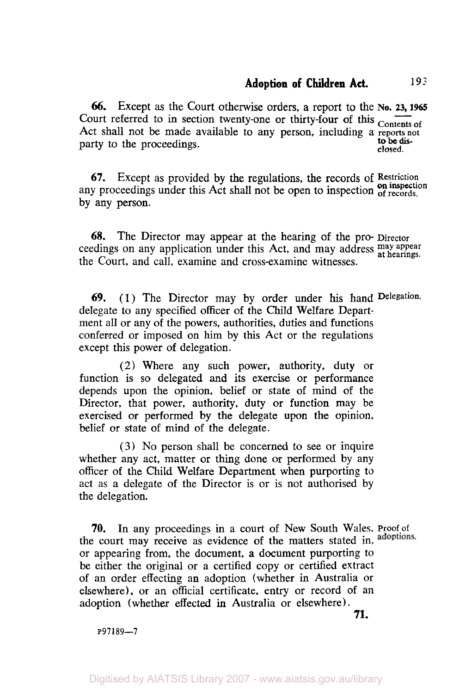**66.** Except as the Court otherwise orders, a report to the **No. 23, 1965** Court referred to in section twenty-one or thirty-four of this <sub>Contents of</sub> Act shall not be made available to any person, including a reports not<br>notty to the precedence party to the proceedings. **closed.** 

**67.** Except as provided by the regulations, the records of **Restriction**  any proceedings under this Act shall not be open to inspection of records. by any person.

**68.** The Director may appear at the hearing of the pro- **Director**  ceedings on any application under this Act, and may address **may appear at hearings**  the Court, and call, examine and cross-examine witnesses.

*69.* **(1)** The Director may by order under his hand **Delegation.**  delegate to any specified officer of the Child Welfare Department all or any of the powers, authorities, duties and functions conferred or imposed on him by this Act or the regulations except this power of delegation.

(2) Where any such power, authority, duty or function is so delegated and its exercise or performance depends upon the opinion, belief or state of mind of the Director, that power, authority, duty or function may be exercised **or** performed by the delegate upon the opinion, belief or state of mind of the delegate.

**(3)** No person shall be concerned to see or inquire whether any act, matter or thing done or performed by any officer of the Child Welfare Department when purporting to act as a delegate of the Director is or is not authorised by the delegation.

**70.** In any proceedings in a court of New South Wales, **Proof of**  the court may receive as evidence of the matters stated in, adoptions. or appearing from, the document, a document purporting to be either the original or a certified copy or certified extract of an order effecting an adoption (whether in Australia or elsewhere), or an official certificate, entry or record of an adoption (whether effected in Australia or elsewhere).

**71.** 

**P97189-7**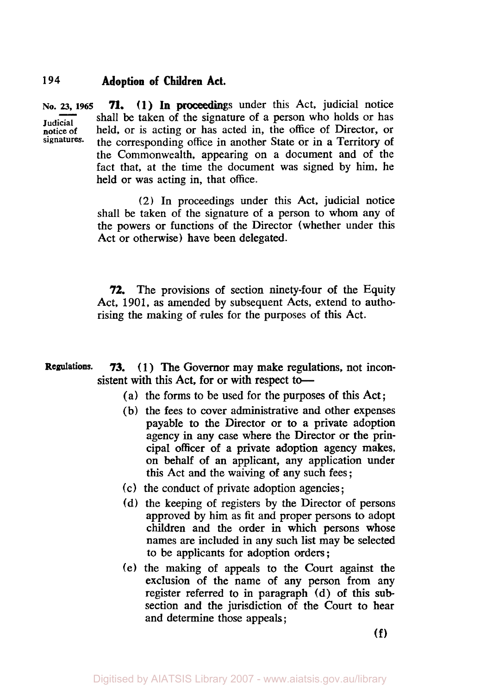**NO.** *23,* **1965 Judicial notice of signatures-71.** (1) In proceedings under this Act, judicial notice shall be taken of the signature of a person who holds or has held, or is acting or has acted in, the office of Director, or the corresponding office in another State or in a Territory of the Commonwealth, appearing on a document and of the fact that, at the time the document was signed by him, he held or was acting in, that office.

> (2) In proceedings under this Act, judicial notice shall be taken of the signature of a person to whom any of the powers or functions of the Director (whether under this Act or otherwise) have been delegated.

> *72.* The provisions of section ninety-four of the Equity Act, 1901, as amended by subsequent Acts, extend to authorising the making of rules for the purposes of this Act.

- **Regulations. 73.** (1) The Governor may make regulations, not inconsistent with this Act, for or with respect to-
	- (a) the forms to be used for the purposes of this Act ;
	- (b) the fees to cover administrative and other expenses payable to the Director or to a private adoption agency in any case where the Director or the principal officer of a private adoption agency makes, on behalf of an applicant, any application under this Act and the waiving of any such fees ;
	- (c) the conduct of private adoption agencies;
	- (d) the keeping of registers by the Director of persons approved by him as fit and proper persons to adopt children and the order in which persons whose names are included in any such list may be selected to be applicants for adoption orders ;
	- (e) the making of appeals to the Court against the exclusion of the name of any person from any register referred to in paragraph (d) of this **sub**section and the jurisdiction of the Court to hear and determine those appeals ;

(f)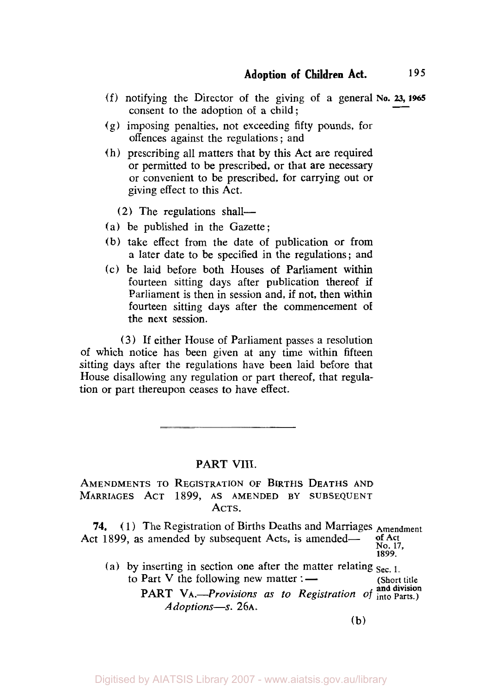- (f) notifying the Director of the giving of a general **No.** *23,* **1965**  consent to the adoption of a child;  $195$ <br>23, 1965
- (g) imposing penalties, not exceeding fifty pounds, for offences against the regulations ; and
- (h) prescribing all matters that by this Act are required or permitted to be prescribed, or that are necessary or convenient to be prescribed, for carrying out **or**  giving effect to this Act.
	- (2) The regulations shall-
- (a) be published in the Gazette;
- (b) take effect from the date of publication or from a later date to be specified in the regulations; and
- (c) be laid before both Houses of Parliament within fourteen sitting days after publication thereof if Parliament is then in session and, if not, then within fourteen sitting days after the commencement **of**  the next session.

**(3)** If either House of Parliament passes a resolution of which notice has been given at any time within fifteen sitting days after the regulations have been laid before that House disallowing any regulation or part thereof, that regulation or part thereupon ceases to have effect.

#### **PART** VIII.

AMENDMENTS TO REGISTRATION **OF** BIRTHS DEATHS AND MARRIAGES ACT **1899,** AS AMENDED BY SUBSEQUENT ACTS.

**74.** (1) The Registration of Births Deaths and Marriages **Amendment**  Act 1899, as amended by subsequent Acts, is amended— No. **17, 1899.** 

(a) by inserting in section one after the matter relating  $\text{Sec. 1}$ . to Part V the following new matter : — (Short title **PART VA.**-Provisions as to Registration of **and division** Adoptions-s. 26A.

(b)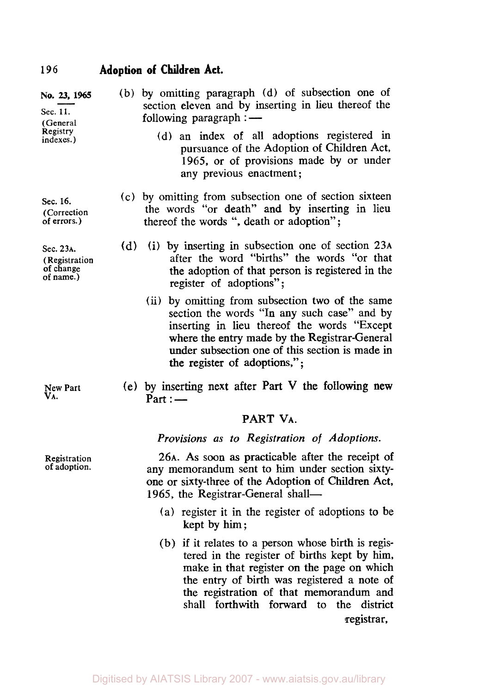| No. 23, 1965<br>Sec. 11.<br>(General<br>Registry<br>indexes.) |     | (b) by omitting paragraph (d) of subsection one of<br>section eleven and by inserting in lieu thereof the<br>following paragraph $:$ $-$                                                                                                                                            |
|---------------------------------------------------------------|-----|-------------------------------------------------------------------------------------------------------------------------------------------------------------------------------------------------------------------------------------------------------------------------------------|
|                                                               |     | (d) an index of all adoptions registered in<br>pursuance of the Adoption of Children Act,<br>1965, or of provisions made by or under<br>any previous enactment;                                                                                                                     |
| Sec. 16.<br>(Correction<br>of errors.)                        |     | (c) by omitting from subsection one of section sixteen<br>the words "or death" and by inserting in lieu<br>thereof the words ", death or adoption";                                                                                                                                 |
| Sec. 23A.<br>(Registration<br>of change<br>of name.)          | (d) | (i) by inserting in subsection one of section 23A<br>after the word "births" the words "or that<br>the adoption of that person is registered in the<br>register of adoptions";                                                                                                      |
|                                                               |     | (ii) by omitting from subsection two of the same<br>section the words "In any such case" and by<br>inserting in lieu thereof the words "Except"<br>where the entry made by the Registrar-General<br>under subsection one of this section is made in<br>the register of adoptions,"; |
| New Part                                                      |     | (e) by inserting next after Part V the following new                                                                                                                                                                                                                                |

**VA.** 

(e) by inserting next after Part V the following new  $Part:$  —

#### **PART VA.**

*Provisions as to Registration of Adoptions.* 

**26A.** As soon as practicable after the receipt of any memorandum sent to him under section sixtyone or sixty-three of the Adoption of Children Act, 1965, the Registrar-General shall-

- (a) register it in the register of adoptions to be kept by him;
- (b) if it relates to a person whose birth is registered in the register of births kept by him, make in that register *on* the page on which the entry of birth was registered a note of the registration of that memorandum and shall forthwith forward to the district registrar,

**Registration of adoption.**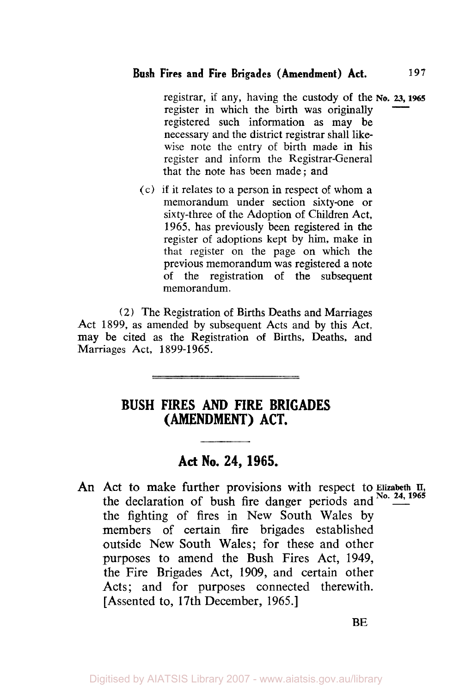registrar, if any, having the custody of the No. 23, 1965 register in which the birth was originally registered such information as may be necessary and the district registrar shall likewise note the entry of birth made in his register and inform the Registrar-General that the note has been made; and

(c) if it relates to a person in respect of whom a memorandum under section sixty-one or sixty-three of the Adoption of Children Act, 1965, has previously been registered in the register of adoptions kept by him, make in that register on the page on which the previous memorandum was registered a note of the registration of the subsequent memorandum.

(2) The Registration of Births Deaths and Marriages Act 1899, as amended by subsequent Acts and by this Act, may be cited as the Registration of Births, Deaths, and Marriages Act, 1899-1965.

# **BUSH FIRES** AND **FIRE BRIGADES (AMENDMENT) ACT.**

# **Act No. 24, 1965.**

An Act to make further provisions with respect to **Elizabeth II**, the declaration of bush fire danger periods and <sup>No. 24, 1965</sup> the fighting of fires in New South Wales by members of certain fire brigades established outside New South Wales; for these and other purposes to amend the Bush Fires Act, 1949, the Fire Brigades Act, 1909, and certain other Acts; and for purposes connected therewith. [Assented to, 17th December, 1965.]

**BE**